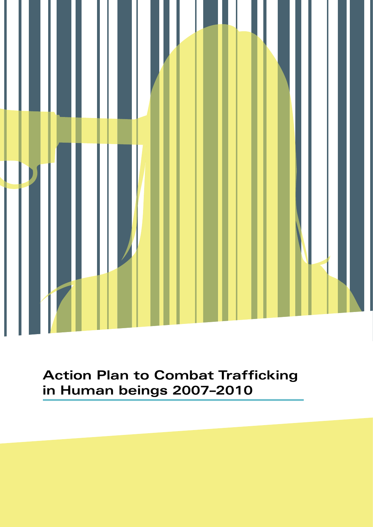

## **Action Plan to Combat Trafficking in Human beings 2007–2010**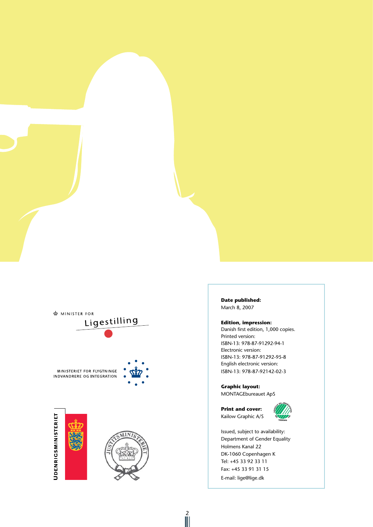

**Date published:** March 8, 2007

#### **Edition, impression:**

Danish first edition, 1,000 copies. Printed version: ISBN-13: 978-87-91292-94-1 Electronic version: ISBN-13: 978-87-91292-95-8 English electronic version: ISBN-13: 978-87-92142-02-3

**Graphic layout:**  MONTAGEbureauet ApS



Issued, subject to availability: Department of Gender Equality Holmens Kanal 22 DK-1060 Copenhagen K Tel: +45 33 92 33 11 Fax: +45 33 91 31 15 E-mail: lige@lige.dk

 $\frac{2}{\|\|}$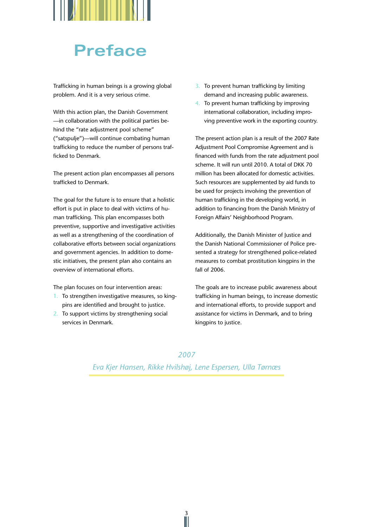

# **Preface**

Trafficking in human beings is a growing global problem. And it is a very serious crime.

With this action plan, the Danish Government —in collaboration with the political parties behind the "rate adjustment pool scheme" ("satspulje")—will continue combating human trafficking to reduce the number of persons trafficked to Denmark.

The present action plan encompasses all persons trafficked to Denmark.

The goal for the future is to ensure that a holistic effort is put in place to deal with victims of human trafficking. This plan encompasses both preventive, supportive and investigative activities as well as a strengthening of the coordination of collaborative efforts between social organizations and government agencies. In addition to domestic initiatives, the present plan also contains an overview of international efforts.

The plan focuses on four intervention areas:

- 1. To strengthen investigative measures, so kingpins are identified and brought to justice.
- 2. To support victims by strengthening social services in Denmark.
- 3. To prevent human trafficking by limiting demand and increasing public awareness.
- 4. To prevent human trafficking by improving international collaboration, including improving preventive work in the exporting country.

The present action plan is a result of the 2007 Rate Adjustment Pool Compromise Agreement and is financed with funds from the rate adjustment pool scheme. It will run until 2010. A total of DKK 70 million has been allocated for domestic activities. Such resources are supplemented by aid funds to be used for projects involving the prevention of human trafficking in the developing world, in addition to financing from the Danish Ministry of Foreign Affairs' Neighborhood Program.

Additionally, the Danish Minister of Justice and the Danish National Commissioner of Police presented a strategy for strengthened police-related measures to combat prostitution kingpins in the fall of 2006.

The goals are to increase public awareness about trafficking in human beings, to increase domestic and international efforts, to provide support and assistance for victims in Denmark, and to bring kingpins to justice.

*2007* 

*Eva Kjer Hansen, Rikke Hvilshøj, Lene Espersen, Ulla Tørnæs*

 $\frac{3}{1}$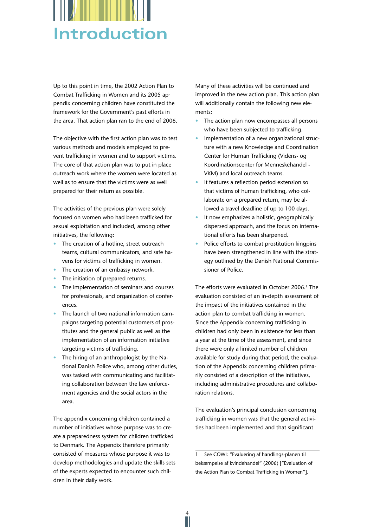

Up to this point in time, the 2002 Action Plan to Combat Trafficking in Women and its 2005 appendix concerning children have constituted the framework for the Government's past efforts in the area. That action plan ran to the end of 2006.

The objective with the first action plan was to test various methods and models employed to prevent trafficking in women and to support victims. The core of that action plan was to put in place outreach work where the women were located as well as to ensure that the victims were as well prepared for their return as possible.

The activities of the previous plan were solely focused on women who had been trafficked for sexual exploitation and included, among other initiatives, the following:

- The creation of a hotline, street outreach teams, cultural communicators, and safe havens for victims of trafficking in women.
- The creation of an embassy network.
- The initiation of prepared returns.
- The implementation of seminars and courses for professionals, and organization of conferences.
- The launch of two national information campaigns targeting potential customers of prostitutes and the general public as well as the implementation of an information initiative targeting victims of trafficking.
- The hiring of an anthropologist by the National Danish Police who, among other duties, was tasked with communicating and facilitating collaboration between the law enforcement agencies and the social actors in the area.

The appendix concerning children contained a number of initiatives whose purpose was to create a preparedness system for children trafficked to Denmark. The Appendix therefore primarily consisted of measures whose purpose it was to develop methodologies and update the skills sets of the experts expected to encounter such children in their daily work.

Many of these activities will be continued and improved in the new action plan. This action plan will additionally contain the following new elements:

- The action plan now encompasses all persons who have been subjected to trafficking.
- Implementation of a new organizational structure with a new Knowledge and Coordination Center for Human Trafficking (Videns- og Koordinationscenter for Menneskehandel - VKM) and local outreach teams.
- It features a reflection period extension so that victims of human trafficking, who collaborate on a prepared return, may be allowed a travel deadline of up to 100 days.
- It now emphasizes a holistic, geographically dispersed approach, and the focus on international efforts has been sharpened.
- Police efforts to combat prostitution kingpins have been strengthened in line with the strategy outlined by the Danish National Commissioner of Police.

The efforts were evaluated in October 2006.<sup>1</sup> The evaluation consisted of an in-depth assessment of the impact of the initiatives contained in the action plan to combat trafficking in women. Since the Appendix concerning trafficking in children had only been in existence for less than a year at the time of the assessment, and since there were only a limited number of children available for study during that period, the evaluation of the Appendix concerning children primarily consisted of a description of the initiatives, including administrative procedures and collaboration relations.

The evaluation's principal conclusion concerning trafficking in women was that the general activities had been implemented and that significant

1 See COWI: "Evaluering af handlings-planen til bekæmpelse af kvindehandel" (2006) ["Evaluation of the Action Plan to Combat Trafficking in Women"].

Ń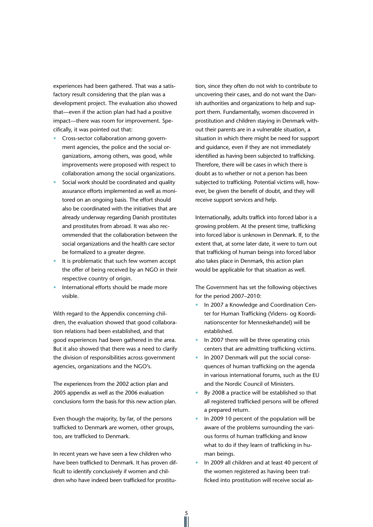experiences had been gathered. That was a satisfactory result considering that the plan was a development project. The evaluation also showed that—even if the action plan had had a positive impact—there was room for improvement. Specifically, it was pointed out that:

- Cross-sector collaboration among government agencies, the police and the social organizations, among others, was good, while improvements were proposed with respect to collaboration among the social organizations.
- Social work should be coordinated and quality assurance efforts implemented as well as monitored on an ongoing basis. The effort should also be coordinated with the initiatives that are already underway regarding Danish prostitutes and prostitutes from abroad. It was also recommended that the collaboration between the social organizations and the health care sector be formalized to a greater degree.
- It is problematic that such few women accept the offer of being received by an NGO in their respective country of origin.
- International efforts should be made more visible.

With regard to the Appendix concerning children, the evaluation showed that good collaboration relations had been established, and that good experiences had been gathered in the area. But it also showed that there was a need to clarify the division of responsibilities across government agencies, organizations and the NGO's.

The experiences from the 2002 action plan and 2005 appendix as well as the 2006 evaluation conclusions form the basis for this new action plan.

Even though the majority, by far, of the persons trafficked to Denmark are women, other groups, too, are trafficked to Denmark.

In recent years we have seen a few children who have been trafficked to Denmark. It has proven difficult to identify conclusively if women and children who have indeed been trafficked for prostitution, since they often do not wish to contribute to uncovering their cases, and do not want the Danish authorities and organizations to help and support them. Fundamentally, women discovered in prostitution and children staying in Denmark without their parents are in a vulnerable situation, a situation in which there might be need for support and guidance, even if they are not immediately identified as having been subjected to trafficking. Therefore, there will be cases in which there is doubt as to whether or not a person has been subjected to trafficking. Potential victims will, however, be given the benefit of doubt, and they will receive support services and help.

Internationally, adults traffick into forced labor is a growing problem. At the present time, trafficking into forced labor is unknown in Denmark. If, to the extent that, at some later date, it were to turn out that trafficking of human beings into forced labor also takes place in Denmark, this action plan would be applicable for that situation as well.

The Government has set the following objectives for the period 2007–2010:

- In 2007 a Knowledge and Coordination Center for Human Trafficking (Videns- og Koordinationscenter for Menneskehandel) will be established.
- In 2007 there will be three operating crisis centers that are admitting trafficking victims.
- In 2007 Denmark will put the social consequences of human trafficking on the agenda in various international forums, such as the EU and the Nordic Council of Ministers.
- By 2008 a practice will be established so that all registered trafficked persons will be offered a prepared return.
- In 2009 10 percent of the population will be aware of the problems surrounding the various forms of human trafficking and know what to do if they learn of trafficking in human beings.
- In 2009 all children and at least 40 percent of the women registered as having been trafficked into prostitution will receive social as-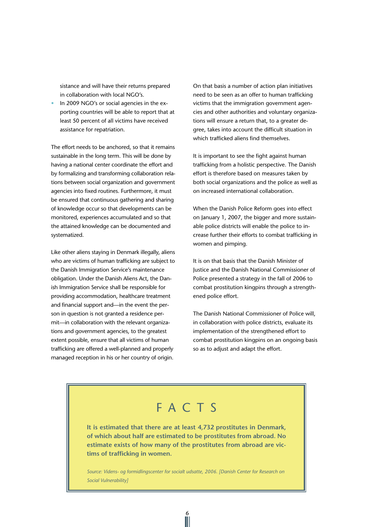sistance and will have their returns prepared in collaboration with local NGO's.

• In 2009 NGO's or social agencies in the exporting countries will be able to report that at least 50 percent of all victims have received assistance for repatriation.

The effort needs to be anchored, so that it remains sustainable in the long term. This will be done by having a national center coordinate the effort and by formalizing and transforming collaboration relations between social organization and government agencies into fixed routines. Furthermore, it must be ensured that continuous gathering and sharing of knowledge occur so that developments can be monitored, experiences accumulated and so that the attained knowledge can be documented and systematized.

Like other aliens staying in Denmark illegally, aliens who are victims of human trafficking are subject to the Danish Immigration Service's maintenance obligation. Under the Danish Aliens Act, the Danish Immigration Service shall be responsible for providing accommodation, healthcare treatment and financial support and—in the event the person in question is not granted a residence permit—in collaboration with the relevant organizations and government agencies, to the greatest extent possible, ensure that all victims of human trafficking are offered a well-planned and properly managed reception in his or her country of origin.

On that basis a number of action plan initiatives need to be seen as an offer to human trafficking victims that the immigration government agencies and other authorities and voluntary organizations will ensure a return that, to a greater degree, takes into account the difficult situation in which trafficked aliens find themselves.

It is important to see the fight against human trafficking from a holistic perspective. The Danish effort is therefore based on measures taken by both social organizations and the police as well as on increased international collaboration.

When the Danish Police Reform goes into effect on January 1, 2007, the bigger and more sustainable police districts will enable the police to increase further their efforts to combat trafficking in women and pimping.

It is on that basis that the Danish Minister of Justice and the Danish National Commissioner of Police presented a strategy in the fall of 2006 to combat prostitution kingpins through a strengthened police effort.

The Danish National Commissioner of Police will, in collaboration with police districts, evaluate its implementation of the strengthened effort to combat prostitution kingpins on an ongoing basis so as to adjust and adapt the effort.

## F A C T S

**It is estimated that there are at least 4,732 prostitutes in Denmark, of which about half are estimated to be prostitutes from abroad. No estimate exists of how many of the prostitutes from abroad are victims of trafficking in women.**

*Source: Videns- og formidlingscenter for socialt udsatte, 2006. [Danish Center for Research on Social Vulnerability]*

6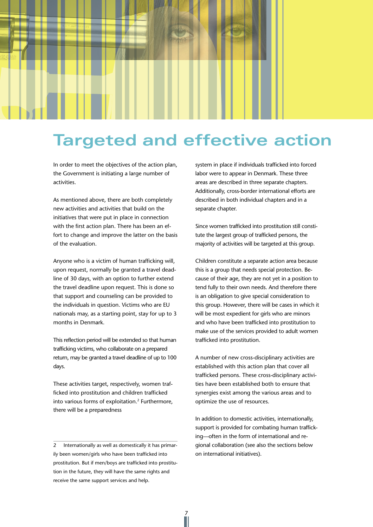# **Targeted and effective action**

In order to meet the objectives of the action plan, the Government is initiating a large number of activities.

As mentioned above, there are both completely new activities and activities that build on the initiatives that were put in place in connection with the first action plan. There has been an effort to change and improve the latter on the basis of the evaluation.

Anyone who is a victim of human trafficking will, upon request, normally be granted a travel deadline of 30 days, with an option to further extend the travel deadline upon request. This is done so that support and counseling can be provided to the individuals in question. Victims who are EU nationals may, as a starting point, stay for up to 3 months in Denmark.

This reflection period will be extended so that human trafficking victims, who collaborate on a prepared return, may be granted a travel deadline of up to 100 days.

These activities target, respectively, women trafficked into prostitution and children trafficked into various forms of exploitation.<sup>2</sup> Furthermore, there will be a preparedness

2 Internationally as well as domestically it has primarily been women/girls who have been trafficked into prostitution. But if men/boys are trafficked into prostitution in the future, they will have the same rights and receive the same support services and help.

Ń

system in place if individuals trafficked into forced labor were to appear in Denmark. These three areas are described in three separate chapters. Additionally, cross-border international efforts are described in both individual chapters and in a separate chapter.

Since women trafficked into prostitution still constitute the largest group of trafficked persons, the majority of activities will be targeted at this group.

Children constitute a separate action area because this is a group that needs special protection. Because of their age, they are not yet in a position to tend fully to their own needs. And therefore there is an obligation to give special consideration to this group. However, there will be cases in which it will be most expedient for girls who are minors and who have been trafficked into prostitution to make use of the services provided to adult women trafficked into prostitution.

A number of new cross-disciplinary activities are established with this action plan that cover all trafficked persons. These cross-disciplinary activities have been established both to ensure that synergies exist among the various areas and to optimize the use of resources.

In addition to domestic activities, internationally, support is provided for combating human trafficking—often in the form of international and regional collaboration (see also the sections below on international initiatives).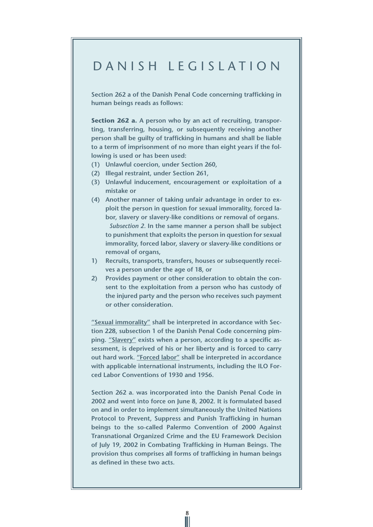### D anish legislation

**Section 262 a of the Danish Penal Code concerning trafficking in human beings reads as follows:**

**Section 262 a. A person who by an act of recruiting, transporting, transferring, housing, or subsequently receiving another person shall be guilty of trafficking in humans and shall be liable to a term of imprisonment of no more than eight years if the following is used or has been used:** 

- **(1) Unlawful coercion, under Section 260,**
- **(2) Illegal restraint, under Section 261,**
- **(3) Unlawful inducement, encouragement or exploitation of a mistake or**
- **(4) Another manner of taking unfair advantage in order to exploit the person in question for sexual immorality, forced labor, slavery or slavery-like conditions or removal of organs.** *Subsection 2.* **In the same manner a person shall be subject to punishment that exploits the person in question for sexual immorality, forced labor, slavery or slavery-like conditions or removal of organs,**
- **1) Recruits, transports, transfers, houses or subsequently receives a person under the age of 18, or**
- **2) Provides payment or other consideration to obtain the consent to the exploitation from a person who has custody of the injured party and the person who receives such payment or other consideration.**

**"Sexual immorality" shall be interpreted in accordance with Section 228, subsection 1 of the Danish Penal Code concerning pimping. "Slavery" exists when a person, according to a specific assessment, is deprived of his or her liberty and is forced to carry out hard work. "Forced labor" shall be interpreted in accordance with applicable international instruments, including the ILO Forced Labor Conventions of 1930 and 1956.**

**Section 262 a. was incorporated into the Danish Penal Code in 2002 and went into force on June 8, 2002. It is formulated based on and in order to implement simultaneously the United Nations Protocol to Prevent, Suppress and Punish Trafficking in human beings to the so-called Palermo Convention of 2000 Against Transnational Organized Crime and the EU Framework Decision of July 19, 2002 in Combating Trafficking in Human Beings. The provision thus comprises all forms of trafficking in human beings as defined in these two acts.**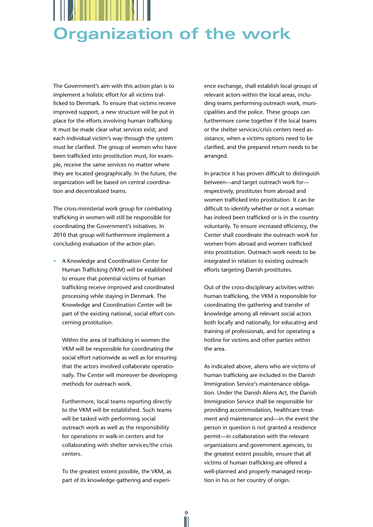

The Government's aim with this action plan is to implement a holistic effort for all victims trafficked to Denmark. To ensure that victims receive improved support, a new structure will be put in place for the efforts involving human trafficking. It must be made clear what services exist; and each individual victim's way through the system must be clarified. The group of women who have been trafficked into prostitution must, for example, receive the same services no matter where they are located geographically. In the future, the organization will be based on central coordination and decentralized teams.

The cross-ministerial work group for combating trafficking in women will still be responsible for coordinating the Government's initiatives. In 2010 that group will furthermore implement a concluding evaluation of the action plan.

• A Knowledge and Coordination Center for Human Trafficking (VKM) will be established to ensure that potential victims of human trafficking receive improved and coordinated processing while staying in Denmark. The Knowledge and Coordination Center will be part of the existing national, social effort concerning prostitution.

Within the area of trafficking in women the VKM will be responsible for coordinating the social effort nationwide as well as for ensuring that the actors involved collaborate operationally. The Center will moreover be developing methods for outreach work.

Furthermore, local teams reporting directly to the VKM will be established. Such teams will be tasked with performing social outreach work as well as the responsibility for operations in walk-in centers and for collaborating with shelter services/the crisis centers.

To the greatest extent possible, the VKM, as part of its knowledge gathering and experi-

ence exchange, shall establish local groups of relevant actors within the local areas, including teams performing outreach work, municipalities and the police. These groups can furthermore come together if the local teams or the shelter services/crisis centers need assistance, when a victims options need to be clarified, and the prepared return needs to be arranged.

In practice it has proven difficult to distinguish between—and target outreach work for respectively, prostitutes from abroad and women trafficked into prostitution. It can be difficult to identify whether or not a woman has indeed been trafficked or is in the country voluntarily. To ensure increased efficiency, the Center shall coordinate the outreach work for women from abroad and women trafficked into prostitution. Outreach work needs to be integrated in relation to existing outreach efforts targeting Danish prostitutes.

Out of the cross-disciplinary activities within human trafficking, the VKM is responsible for coordinating the gathering and transfer of knowledge among all relevant social actors both locally and nationally, for educating and training of professionals, and for operating a hotline for victims and other parties within the area.

As indicated above, aliens who are victims of human trafficking are included in the Danish Immigration Service's maintenance obligation. Under the Danish Aliens Act, the Danish Immigration Service shall be responsible for providing accommodation, healthcare treatment and maintenance and—in the event the person in question is not granted a residence permit—in collaboration with the relevant organizations and government agencies, to the greatest extent possible, ensure that all victims of human trafficking are offered a well-planned and properly managed reception in his or her country of origin.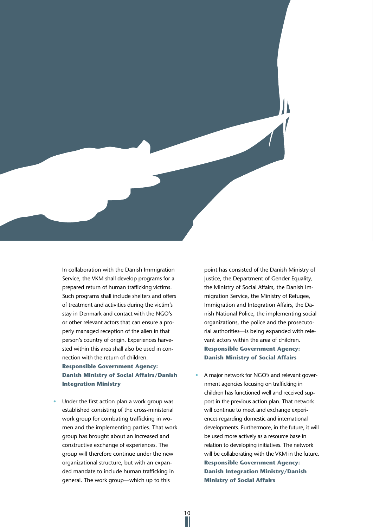

In collaboration with the Danish Immigration Service, the VKM shall develop programs for a prepared return of human trafficking victims. Such programs shall include shelters and offers of treatment and activities during the victim's stay in Denmark and contact with the NGO's or other relevant actors that can ensure a properly managed reception of the alien in that person's country of origin. Experiences harvested within this area shall also be used in connection with the return of children. **Responsible Government Agency: Danish Ministry of Social Affairs/Danish Integration Ministry**

Under the first action plan a work group was established consisting of the cross-ministerial work group for combating trafficking in women and the implementing parties. That work group has brought about an increased and constructive exchange of experiences. The group will therefore continue under the new organizational structure, but with an expanded mandate to include human trafficking in general. The work group—which up to this

10

point has consisted of the Danish Ministry of Justice, the Department of Gender Equality, the Ministry of Social Affairs, the Danish Immigration Service, the Ministry of Refugee, Immigration and Integration Affairs, the Danish National Police, the implementing social organizations, the police and the prosecutorial authorities—is being expanded with relevant actors within the area of children. **Responsible Government Agency: Danish Ministry of Social Affairs**

• A major network for NGO's and relevant government agencies focusing on trafficking in children has functioned well and received support in the previous action plan. That network will continue to meet and exchange experiences regarding domestic and international developments. Furthermore, in the future, it will be used more actively as a resource base in relation to developing initiatives. The network will be collaborating with the VKM in the future. **Responsible Government Agency: Danish Integration Ministry/Danish Ministry of Social Affairs**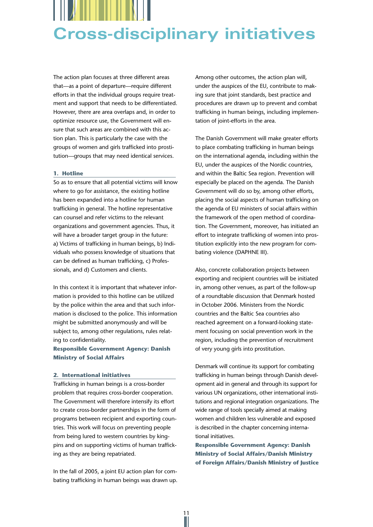

The action plan focuses at three different areas that—as a point of departure—require different efforts in that the individual groups require treatment and support that needs to be differentiated. However, there are area overlaps and, in order to optimize resource use, the Government will ensure that such areas are combined with this action plan. This is particularly the case with the groups of women and girls trafficked into prostitution—groups that may need identical services.

#### **1. Hotline**

So as to ensure that all potential victims will know where to go for assistance, the existing hotline has been expanded into a hotline for human trafficking in general. The hotline representative can counsel and refer victims to the relevant organizations and government agencies. Thus, it will have a broader target group in the future: a) Victims of trafficking in human beings, b) Individuals who possess knowledge of situations that can be defined as human trafficking, c) Professionals, and d) Customers and clients.

In this context it is important that whatever information is provided to this hotline can be utilized by the police within the area and that such information is disclosed to the police. This information might be submitted anonymously and will be subject to, among other regulations, rules relating to confidentiality.

#### **Responsible Government Agency: Danish Ministry of Social Affairs**

#### **2. International initiatives**

Trafficking in human beings is a cross-border problem that requires cross-border cooperation. The Government will therefore intensify its effort to create cross-border partnerships in the form of programs between recipient and exporting countries. This work will focus on preventing people from being lured to western countries by kingpins and on supporting victims of human trafficking as they are being repatriated.

In the fall of 2005, a joint EU action plan for combating trafficking in human beings was drawn up.

11

Among other outcomes, the action plan will, under the auspices of the EU, contribute to making sure that joint standards, best practice and procedures are drawn up to prevent and combat trafficking in human beings, including implementation of joint-efforts in the area.

The Danish Government will make greater efforts to place combating trafficking in human beings on the international agenda, including within the EU, under the auspices of the Nordic countries, and within the Baltic Sea region. Prevention will especially be placed on the agenda. The Danish Government will do so by, among other efforts, placing the social aspects of human trafficking on the agenda of EU ministers of social affairs within the framework of the open method of coordination. The Government, moreover, has initiated an effort to integrate trafficking of women into prostitution explicitly into the new program for combating violence (DAPHNE III).

Also, concrete collaboration projects between exporting and recipient countries will be initiated in, among other venues, as part of the follow-up of a roundtable discussion that Denmark hosted in October 2006. Ministers from the Nordic countries and the Baltic Sea countries also reached agreement on a forward-looking statement focusing on social prevention work in the region, including the prevention of recruitment of very young girls into prostitution.

Denmark will continue its support for combating trafficking in human beings through Danish development aid in general and through its support for various UN organizations, other international institutions and regional integration organizations. The wide range of tools specially aimed at making women and children less vulnerable and exposed is described in the chapter concerning international initiatives.

**Responsible Government Agency: Danish Ministry of Social Affairs/Danish Ministry of Foreign Affairs/Danish Ministry of Justice**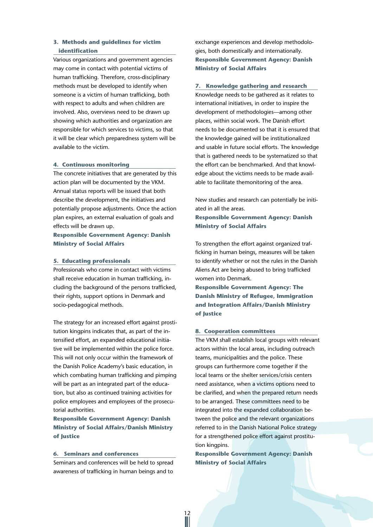#### **3. Methods and guidelines for victim identification**

Various organizations and government agencies may come in contact with potential victims of human trafficking. Therefore, cross-disciplinary methods must be developed to identify when someone is a victim of human trafficking, both with respect to adults and when children are involved. Also, overviews need to be drawn up showing which authorities and organization are responsible for which services to victims, so that it will be clear which preparedness system will be available to the victim.

#### **4. Continuous monitoring**

The concrete initiatives that are generated by this action plan will be documented by the VKM. Annual status reports will be issued that both describe the development, the initiatives and potentially propose adjustments. Once the action plan expires, an external evaluation of goals and effects will be drawn up.

**Responsible Government Agency: Danish Ministry of Social Affairs**

#### **5. Educating professionals**

Professionals who come in contact with victims shall receive education in human trafficking, including the background of the persons trafficked, their rights, support options in Denmark and socio-pedagogical methods.

The strategy for an increased effort against prostitution kingpins indicates that, as part of the intensified effort, an expanded educational initiative will be implemented within the police force. This will not only occur within the framework of the Danish Police Academy's basic education, in which combating human trafficking and pimping will be part as an integrated part of the education, but also as continued training activities for police employees and employees of the prosecutorial authorities.

**Responsible Government Agency: Danish Ministry of Social Affairs/Danish Ministry of Justice**

#### **6. Seminars and conferences**

Seminars and conferences will be held to spread awareness of trafficking in human beings and to

exchange experiences and develop methodologies, both domestically and internationally. **Responsible Government Agency: Danish Ministry of Social Affairs**

#### **7. Knowledge gathering and research**

Knowledge needs to be gathered as it relates to international initiatives, in order to inspire the development of methodologies—among other places, within social work. The Danish effort needs to be documented so that it is ensured that the knowledge gained will be institutionalized and usable in future social efforts. The knowledge that is gathered needs to be systematized so that the effort can be benchmarked. And that knowledge about the victims needs to be made available to facilitate themonitoring of the area.

New studies and research can potentially be initiated in all the areas.

**Responsible Government Agency: Danish Ministry of Social Affairs**

To strengthen the effort against organized trafficking in human beings, measures will be taken to identify whether or not the rules in the Danish Aliens Act are being abused to bring trafficked women into Denmark.

**Responsible Government Agency: The Danish Ministry of Refugee, Immigration and Integration Affairs/Danish Ministry of Justice**

#### **8. Cooperation committees**

The VKM shall establish local groups with relevant actors within the local areas, including outreach teams, municipalities and the police. These groups can furthermore come together if the local teams or the shelter services/crisis centers need assistance, when a victims options need to be clarified, and when the prepared return needs to be arranged. These committees need to be integrated into the expanded collaboration between the police and the relevant organizations referred to in the Danish National Police strategy for a strengthened police effort against prostitution kingpins.

**Responsible Government Agency: Danish Ministry of Social Affairs**

12<br>||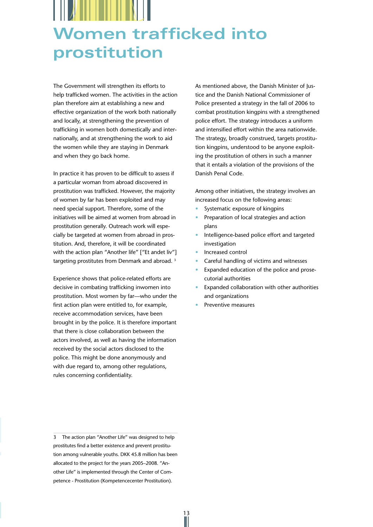# **Women trafficked into prostitution**

The Government will strengthen its efforts to help trafficked women. The activities in the action plan therefore aim at establishing a new and effective organization of the work both nationally and locally, at strengthening the prevention of trafficking in women both domestically and internationally, and at strengthening the work to aid the women while they are staying in Denmark and when they go back home.

In practice it has proven to be difficult to assess if a particular woman from abroad discovered in prostitution was trafficked. However, the majority of women by far has been exploited and may need special support. Therefore, some of the initiatives will be aimed at women from abroad in prostitution generally. Outreach work will especially be targeted at women from abroad in prostitution. And, therefore, it will be coordinated with the action plan "Another life" ["Et andet liv"] targeting prostitutes from Denmark and abroad.<sup>3</sup>

Experience shows that police-related efforts are decisive in combating trafficking inwomen into prostitution. Most women by far—who under the first action plan were entitled to, for example, receive accommodation services, have been brought in by the police. It is therefore important that there is close collaboration between the actors involved, as well as having the information received by the social actors disclosed to the police. This might be done anonymously and with due regard to, among other regulations, rules concerning confidentiality.

3 The action plan "Another Life" was designed to help prostitutes find a better existence and prevent prostitution among vulnerable youths. DKK 45.8 million has been allocated to the project for the years 2005–2008. "Another Life" is implemented through the Center of Competence - Prostitution (Kompetencecenter Prostitution).

As mentioned above, the Danish Minister of Justice and the Danish National Commissioner of Police presented a strategy in the fall of 2006 to combat prostitution kingpins with a strengthened police effort. The strategy introduces a uniform and intensified effort within the area nationwide. The strategy, broadly construed, targets prostitution kingpins, understood to be anyone exploiting the prostitution of others in such a manner that it entails a violation of the provisions of the Danish Penal Code.

Among other initiatives, the strategy involves an increased focus on the following areas:

- Systematic exposure of kingpins
- Preparation of local strategies and action plans
- Intelligence-based police effort and targeted investigation
- Increased control
- Careful handling of victims and witnesses
- Expanded education of the police and prosecutorial authorities
- Expanded collaboration with other authorities and organizations
- Preventive measures

13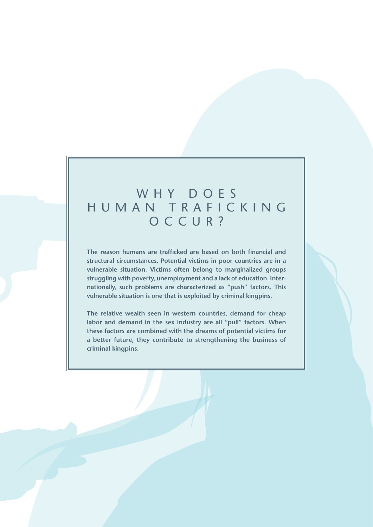### WHY DOES human traficking OCCUR?

**The reason humans are trafficked are based on both financial and structural circumstances. Potential victims in poor countries are in a vulnerable situation. Victims often belong to marginalized groups struggling with poverty, unemployment and a lack of education. Internationally, such problems are characterized as "push" factors. This vulnerable situation is one that is exploited by criminal kingpins.**

**The relative wealth seen in western countries, demand for cheap labor and demand in the sex industry are all "pull" factors. When these factors are combined with the dreams of potential victims for a better future, they contribute to strengthening the business of criminal kingpins.**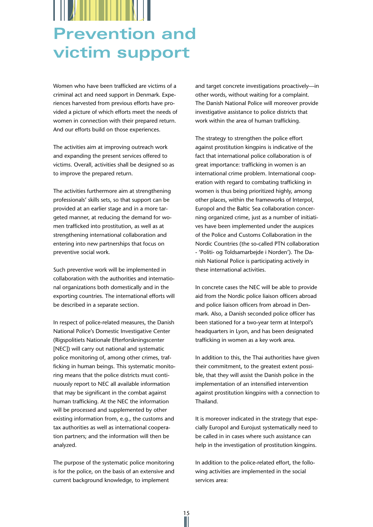# **Prevention and victim support**

Women who have been trafficked are victims of a criminal act and need support in Denmark. Experiences harvested from previous efforts have provided a picture of which efforts meet the needs of women in connection with their prepared return. And our efforts build on those experiences.

The activities aim at improving outreach work and expanding the present services offered to victims. Overall, activities shall be designed so as to improve the prepared return.

The activities furthermore aim at strengthening professionals' skills sets, so that support can be provided at an earlier stage and in a more targeted manner, at reducing the demand for women trafficked into prostitution, as well as at strengthening international collaboration and entering into new partnerships that focus on preventive social work.

Such preventive work will be implemented in collaboration with the authorities and international organizations both domestically and in the exporting countries. The international efforts will be described in a separate section.

In respect of police-related measures, the Danish National Police's Domestic Investigative Center (Rigspolitiets Nationale Efterforskningscenter [NEC]) will carry out national and systematic police monitoring of, among other crimes, trafficking in human beings. This systematic monitoring means that the police districts must continuously report to NEC all available information that may be significant in the combat against human trafficking. At the NEC the information will be processed and supplemented by other existing information from, e.g., the customs and tax authorities as well as international cooperation partners; and the information will then be analyzed.

The purpose of the systematic police monitoring is for the police, on the basis of an extensive and current background knowledge, to implement

and target concrete investigations proactively—in other words, without waiting for a complaint. The Danish National Police will moreover provide investigative assistance to police districts that work within the area of human trafficking.

The strategy to strengthen the police effort against prostitution kingpins is indicative of the fact that international police collaboration is of great importance: trafficking in women is an international crime problem. International cooperation with regard to combating trafficking in women is thus being prioritized highly, among other places, within the frameworks of Interpol, Europol and the Baltic Sea collaboration concerning organized crime, just as a number of initiatives have been implemented under the auspices of the Police and Customs Collaboration in the Nordic Countries (the so-called PTN collaboration - 'Politi- og Toldsamarbejde i Norden'). The Danish National Police is participating actively in these international activities.

In concrete cases the NEC will be able to provide aid from the Nordic police liaison officers abroad and police liaison officers from abroad in Denmark. Also, a Danish seconded police officer has been stationed for a two-year term at Interpol's headquarters in Lyon, and has been designated trafficking in women as a key work area.

In addition to this, the Thai authorities have given their commitment, to the greatest extent possible, that they will assist the Danish police in the implementation of an intensified intervention against prostitution kingpins with a connection to Thailand.

It is moreover indicated in the strategy that especially Europol and Eurojust systematically need to be called in in cases where such assistance can help in the investigation of prostitution kingpins.

In addition to the police-related effort, the following activities are implemented in the social services area:

15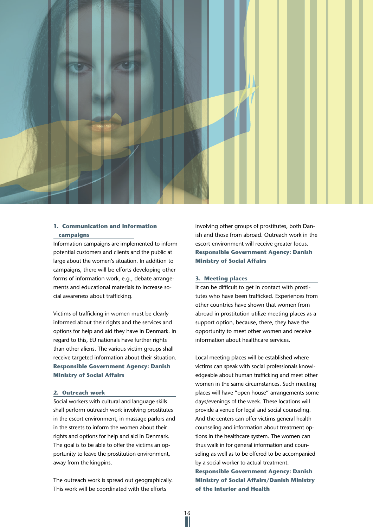

#### **1. Communication and information campaigns**

Information campaigns are implemented to inform potential customers and clients and the public at large about the women's situation. In addition to campaigns, there will be efforts developing other forms of information work, e.g., debate arrangements and educational materials to increase social awareness about trafficking.

Victims of trafficking in women must be clearly informed about their rights and the services and options for help and aid they have in Denmark. In regard to this, EU nationals have further rights than other aliens. The various victim groups shall receive targeted information about their situation. **Responsible Government Agency: Danish Ministry of Social Affairs**

#### **2. Outreach work**

Social workers with cultural and language skills shall perform outreach work involving prostitutes in the escort environment, in massage parlors and in the streets to inform the women about their rights and options for help and aid in Denmark. The goal is to be able to offer the victims an opportunity to leave the prostitution environment, away from the kingpins.

The outreach work is spread out geographically. This work will be coordinated with the efforts

involving other groups of prostitutes, both Danish and those from abroad. Outreach work in the escort environment will receive greater focus. **Responsible Government Agency: Danish Ministry of Social Affairs**

#### **3. Meeting places**

It can be difficult to get in contact with prostitutes who have been trafficked. Experiences from other countries have shown that women from abroad in prostitution utilize meeting places as a support option, because, there, they have the opportunity to meet other women and receive information about healthcare services.

Local meeting places will be established where victims can speak with social professionals knowledgeable about human trafficking and meet other women in the same circumstances. Such meeting places will have "open house" arrangements some days/evenings of the week. These locations will provide a venue for legal and social counseling. And the centers can offer victims general health counseling and information about treatment options in the healthcare system. The women can thus walk in for general information and counseling as well as to be offered to be accompanied by a social worker to actual treatment. **Responsible Government Agency: Danish Ministry of Social Affairs/Danish Ministry of the Interior and Health**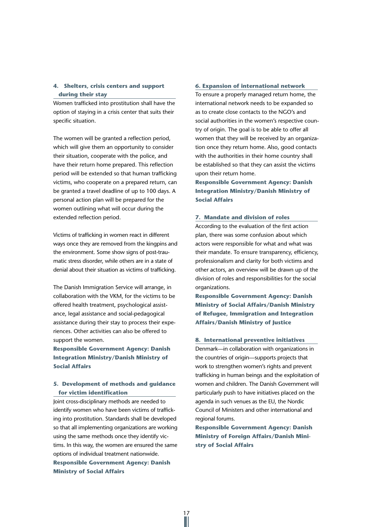#### **4. Shelters, crisis centers and support during their stay**

Women trafficked into prostitution shall have the option of staying in a crisis center that suits their specific situation.

The women will be granted a reflection period, which will give them an opportunity to consider their situation, cooperate with the police, and have their return home prepared. This reflection period will be extended so that human trafficking victims, who cooperate on a prepared return, can be granted a travel deadline of up to 100 days. A personal action plan will be prepared for the women outlining what will occur during the extended reflection period.

Victims of trafficking in women react in different ways once they are removed from the kingpins and the environment. Some show signs of post-traumatic stress disorder, while others are in a state of denial about their situation as victims of trafficking.

The Danish Immigration Service will arrange, in collaboration with the VKM, for the victims to be offered health treatment, psychological assistance, legal assistance and social-pedagogical assistance during their stay to process their experiences. Other activities can also be offered to support the women.

**Responsible Government Agency: Danish Integration Ministry/Danish Ministry of Social Affairs**

#### **5. Development of methods and guidance for victim identification**

Joint cross-disciplinary methods are needed to identify women who have been victims of trafficking into prostitution. Standards shall be developed so that all implementing organizations are working using the same methods once they identify victims. In this way, the women are ensured the same options of individual treatment nationwide. **Responsible Government Agency: Danish Ministry of Social Affairs**

#### **6. Expansion of international network**

To ensure a properly managed return home, the international network needs to be expanded so as to create close contacts to the NGO's and social authorities in the women's respective country of origin. The goal is to be able to offer all women that they will be received by an organization once they return home. Also, good contacts with the authorities in their home country shall be established so that they can assist the victims upon their return home.

**Responsible Government Agency: Danish Integration Ministry/Danish Ministry of Social Affairs**

#### **7. Mandate and division of roles**

According to the evaluation of the first action plan, there was some confusion about which actors were responsible for what and what was their mandate. To ensure transparency, efficiency, professionalism and clarity for both victims and other actors, an overview will be drawn up of the division of roles and responsibilities for the social organizations.

**Responsible Government Agency: Danish Ministry of Social Affairs/Danish Ministry of Refugee, Immigration and Integration Affairs/Danish Ministry of Justice**

#### **8. International preventive initiatives**

Denmark—in collaboration with organizations in the countries of origin—supports projects that work to strengthen women's rights and prevent trafficking in human beings and the exploitation of women and children. The Danish Government will particularly push to have initiatives placed on the agenda in such venues as the EU, the Nordic Council of Ministers and other international and regional forums.

**Responsible Government Agency: Danish Ministry of Foreign Affairs/Danish Ministry of Social Affairs**

17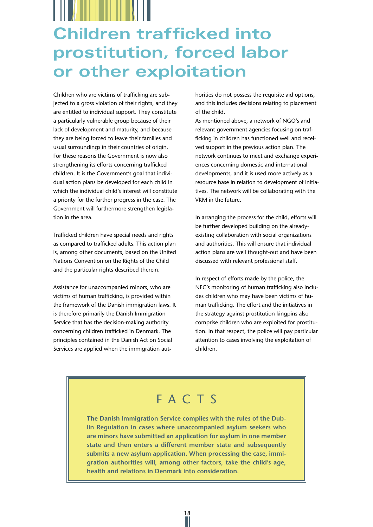# **Children trafficked into prostitution, forced labor or other exploitation**

Children who are victims of trafficking are subjected to a gross violation of their rights, and they are entitled to individual support. They constitute a particularly vulnerable group because of their lack of development and maturity, and because they are being forced to leave their families and usual surroundings in their countries of origin. For these reasons the Government is now also strengthening its efforts concerning trafficked children. It is the Government's goal that individual action plans be developed for each child in which the individual child's interest will constitute a priority for the further progress in the case. The Government will furthermore strengthen legislation in the area.

Trafficked children have special needs and rights as compared to trafficked adults. This action plan is, among other documents, based on the United Nations Convention on the Rights of the Child and the particular rights described therein.

Assistance for unaccompanied minors, who are victims of human trafficking, is provided within the framework of the Danish immigration laws. It is therefore primarily the Danish Immigration Service that has the decision-making authority concerning children trafficked in Denmark. The principles contained in the Danish Act on Social Services are applied when the immigration authorities do not possess the requisite aid options, and this includes decisions relating to placement of the child.

As mentioned above, a network of NGO's and relevant government agencies focusing on trafficking in children has functioned well and received support in the previous action plan. The network continues to meet and exchange experiences concerning domestic and international developments, and it is used more actively as a resource base in relation to development of initiatives. The network will be collaborating with the VKM in the future.

In arranging the process for the child, efforts will be further developed building on the alreadyexisting collaboration with social organizations and authorities. This will ensure that individual action plans are well thought-out and have been discussed with relevant professional staff.

In respect of efforts made by the police, the NEC's monitoring of human trafficking also includes children who may have been victims of human trafficking. The effort and the initiatives in the strategy against prostitution kingpins also comprise children who are exploited for prostitution. In that respect, the police will pay particular attention to cases involving the exploitation of children.

## FACTS

**The Danish Immigration Service complies with the rules of the Dublin Regulation in cases where unaccompanied asylum seekers who are minors have submitted an application for asylum in one member state and then enters a different member state and subsequently submits a new asylum application. When processing the case, immigration authorities will, among other factors, take the child's age, health and relations in Denmark into consideration.**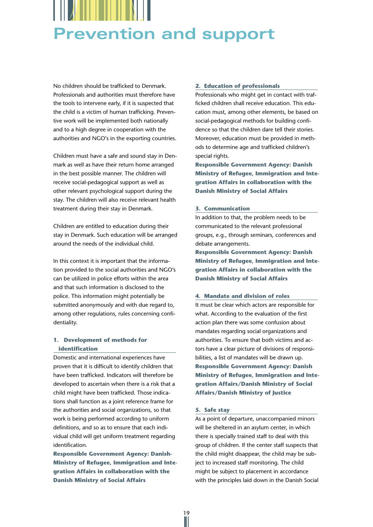

No children should be trafficked to Denmark. Professionals and authorities must therefore have the tools to intervene early, if it is suspected that the child is a victim of human trafficking. Preventive work will be implemented both nationally and to a high degree in cooperation with the authorities and NGO's in the exporting countries.

Children must have a safe and sound stay in Denmark as well as have their return home arranged in the best possible manner. The children will receive social-pedagogical support as well as other relevant psychological support during the stay. The children will also receive relevant health treatment during their stay in Denmark.

Children are entitled to education during their stay in Denmark. Such education will be arranged around the needs of the individual child.

In this context it is important that the information provided to the social authorities and NGO's can be utilized in police efforts within the area and that such information is disclosed to the police. This information might potentially be submitted anonymously and with due regard to, among other regulations, rules concerning confidentiality.

#### **1. Development of methods for identification**

Domestic and international experiences have proven that it is difficult to identify children that have been trafficked. Indicators will therefore be developed to ascertain when there is a risk that a child might have been trafficked. Those indications shall function as a joint reference frame for the authorities and social organizations, so that work is being performed according to uniform definitions, and so as to ensure that each individual child will get uniform treatment regarding identification.

**Responsible Government Agency: Danish-Ministry of Refugee, Immigration and Integration Affairs in collaboration with the Danish Ministry of Social Affairs**

#### **2. Education of professionals**

Professionals who might get in contact with trafficked children shall receive education. This education must, among other elements, be based on social-pedagogical methods for building confidence so that the children dare tell their stories. Moreover, education must be provided in methods to determine age and trafficked children's special rights.

**Responsible Government Agency: Danish Ministry of Refugee, Immigration and Integration Affairs in collaboration with the Danish Ministry of Social Affairs**

#### **3. Communication**

In addition to that, the problem needs to be communicated to the relevant professional groups, e.g., through seminars, conferences and debate arrangements.

**Responsible Government Agency: Danish Ministry of Refugee, Immigration and Integration Affairs in collaboration with the Danish Ministry of Social Affairs**

#### **4. Mandate and division of roles**

It must be clear which actors are responsible for what. According to the evaluation of the first action plan there was some confusion about mandates regarding social organizations and authorities. To ensure that both victims and actors have a clear picture of divisions of responsibilities, a list of mandates will be drawn up. **Responsible Government Agency: Danish Ministry of Refugee, Immigration and Integration Affairs/Danish Ministry of Social Affairs/Danish Ministry of Justice**

#### **5. Safe stay**

19<br>||

As a point of departure, unaccompanied minors will be sheltered in an asylum center, in which there is specially trained staff to deal with this group of children. If the center staff suspects that the child might disappear, the child may be subject to increased staff monitoring. The child might be subject to placement in accordance with the principles laid down in the Danish Social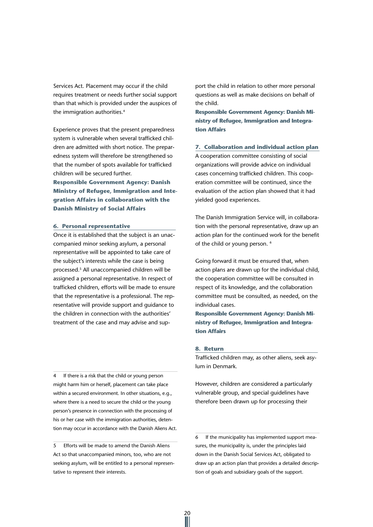Services Act. Placement may occur if the child requires treatment or needs further social support than that which is provided under the auspices of the immigration authorities.<sup>4</sup>

Experience proves that the present preparedness system is vulnerable when several trafficked children are admitted with short notice. The preparedness system will therefore be strengthened so that the number of spots available for trafficked children will be secured further.

**Responsible Government Agency: Danish Ministry of Refugee, Immigration and Integration Affairs in collaboration with the Danish Ministry of Social Affairs**

#### **6. Personal representative**

Once it is established that the subject is an unaccompanied minor seeking asylum, a personal representative will be appointed to take care of the subject's interests while the case is being processed.5 All unaccompanied children will be assigned a personal representative. In respect of trafficked children, efforts will be made to ensure that the representative is a professional. The representative will provide support and guidance to the children in connection with the authorities' treatment of the case and may advise and sup-

4 If there is a risk that the child or young person might harm him or herself, placement can take place within a secured environment. In other situations, e.g., where there is a need to secure the child or the young person's presence in connection with the processing of his or her case with the immigration authorities, detention may occur in accordance with the Danish Aliens Act.

5 Efforts will be made to amend the Danish Aliens Act so that unaccompanied minors, too, who are not seeking asylum, will be entitled to a personal representative to represent their interests.

port the child in relation to other more personal questions as well as make decisions on behalf of the child.

**Responsible Government Agency: Danish Ministry of Refugee, Immigration and Integration Affairs**

**7. Collaboration and individual action plan** A cooperation committee consisting of social organizations will provide advice on individual cases concerning trafficked children. This cooperation committee will be continued, since the evaluation of the action plan showed that it had yielded good experiences.

The Danish Immigration Service will, in collaboration with the personal representative, draw up an action plan for the continued work for the benefit of the child or young person. 6

Going forward it must be ensured that, when action plans are drawn up for the individual child, the cooperation committee will be consulted in respect of its knowledge, and the collaboration committee must be consulted, as needed, on the individual cases.

**Responsible Government Agency: Danish Ministry of Refugee, Immigration and Integration Affairs**

#### **8. Return**

20

Trafficked children may, as other aliens, seek asylum in Denmark.

However, children are considered a particularly vulnerable group, and special guidelines have therefore been drawn up for processing their

<sup>6</sup> If the municipality has implemented support measures, the municipality is, under the principles laid down in the Danish Social Services Act, obligated to draw up an action plan that provides a detailed description of goals and subsidiary goals of the support.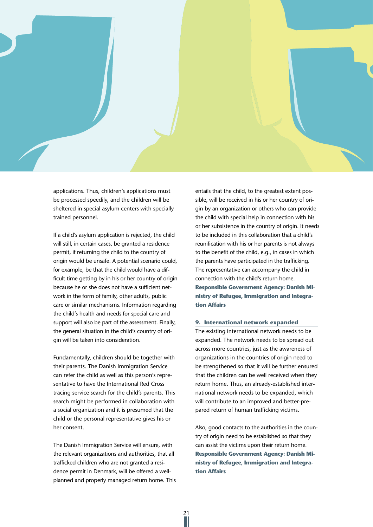

applications. Thus, children's applications must be processed speedily, and the children will be sheltered in special asylum centers with specially trained personnel.

If a child's asylum application is rejected, the child will still, in certain cases, be granted a residence permit, if returning the child to the country of origin would be unsafe. A potential scenario could, for example, be that the child would have a difficult time getting by in his or her country of origin because he or she does not have a sufficient network in the form of family, other adults, public care or similar mechanisms. Information regarding the child's health and needs for special care and support will also be part of the assessment. Finally, the general situation in the child's country of origin will be taken into consideration.

Fundamentally, children should be together with their parents. The Danish Immigration Service can refer the child as well as this person's representative to have the International Red Cross tracing service search for the child's parents. This search might be performed in collaboration with a social organization and it is presumed that the child or the personal representative gives his or her consent.

The Danish Immigration Service will ensure, with the relevant organizations and authorities, that all trafficked children who are not granted a residence permit in Denmark, will be offered a wellplanned and properly managed return home. This

21

entails that the child, to the greatest extent possible, will be received in his or her country of origin by an organization or others who can provide the child with special help in connection with his or her subsistence in the country of origin. It needs to be included in this collaboration that a child's reunification with his or her parents is not always to the benefit of the child, e.g., in cases in which the parents have participated in the trafficking. The representative can accompany the child in connection with the child's return home. **Responsible Government Agency: Danish Ministry of Refugee, Immigration and Integration Affairs**

#### **9. International network expanded**

The existing international network needs to be expanded. The network needs to be spread out across more countries, just as the awareness of organizations in the countries of origin need to be strengthened so that it will be further ensured that the children can be well received when they return home. Thus, an already-established international network needs to be expanded, which will contribute to an improved and better-prepared return of human trafficking victims.

Also, good contacts to the authorities in the country of origin need to be established so that they can assist the victims upon their return home. **Responsible Government Agency: Danish Ministry of Refugee, Immigration and Integration Affairs**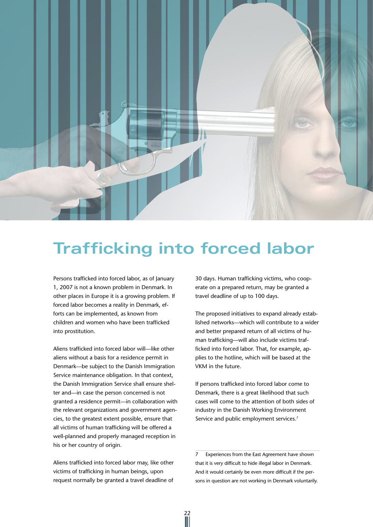

# **Trafficking into forced labor**

22

Persons trafficked into forced labor, as of January 1, 2007 is not a known problem in Denmark. In other places in Europe it is a growing problem. If forced labor becomes a reality in Denmark, efforts can be implemented, as known from children and women who have been trafficked into prostitution.

Aliens trafficked into forced labor will—like other aliens without a basis for a residence permit in Denmark—be subject to the Danish Immigration Service maintenance obligation. In that context, the Danish Immigration Service shall ensure shelter and—in case the person concerned is not granted a residence permit—in collaboration with the relevant organizations and government agencies, to the greatest extent possible, ensure that all victims of human trafficking will be offered a well-planned and properly managed reception in his or her country of origin.

Aliens trafficked into forced labor may, like other victims of trafficking in human beings, upon request normally be granted a travel deadline of

30 days. Human trafficking victims, who cooperate on a prepared return, may be granted a travel deadline of up to 100 days.

The proposed initiatives to expand already established networks—which will contribute to a wider and better prepared return of all victims of human trafficking—will also include victims trafficked into forced labor. That, for example, applies to the hotline, which will be based at the VKM in the future.

If persons trafficked into forced labor come to Denmark, there is a great likelihood that such cases will come to the attention of both sides of industry in the Danish Working Environment Service and public employment services.<sup>7</sup>

7 Experiences from the East Agreement have shown that it is very difficult to hide illegal labor in Denmark. And it would certainly be even more difficult if the persons in question are not working in Denmark voluntarily.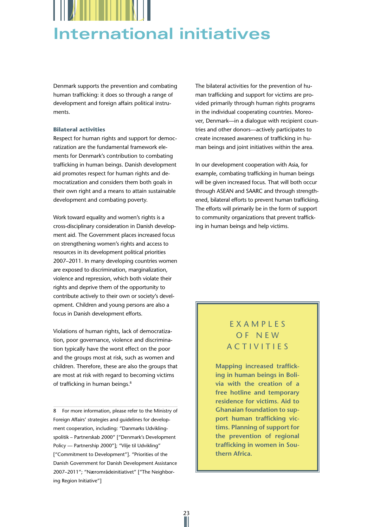

Denmark supports the prevention and combating human trafficking: it does so through a range of development and foreign affairs political instruments.

#### **Bilateral activities**

Respect for human rights and support for democratization are the fundamental framework elements for Denmark's contribution to combating trafficking in human beings. Danish development aid promotes respect for human rights and democratization and considers them both goals in their own right and a means to attain sustainable development and combating poverty.

Work toward equality and women's rights is a cross-disciplinary consideration in Danish development aid. The Government places increased focus on strengthening women's rights and access to resources in its development political priorities 2007–2011. In many developing countries women are exposed to discrimination, marginalization, violence and repression, which both violate their rights and deprive them of the opportunity to contribute actively to their own or society's development. Children and young persons are also a focus in Danish development efforts.

Violations of human rights, lack of democratization, poor governance, violence and discrimination typically have the worst effect on the poor and the groups most at risk, such as women and children. Therefore, these are also the groups that are most at risk with regard to becoming victims of trafficking in human beings.<sup>8</sup>

8 For more information, please refer to the Ministry of Foreign Affairs' strategies and guidelines for development cooperation, including: "Danmarks Udviklingspolitik – Partnerskab 2000" ["Denmark's Development Policy — Partnership 2000"]; "Vilje til Udvikling" ["Commitment to Development"]. "Priorities of the Danish Government for Danish Development Assistance 2007–2011"; "Nærområdeinitiativet" ["The Neighboring Region Initiative"]

The bilateral activities for the prevention of human trafficking and support for victims are provided primarily through human rights programs in the individual cooperating countries. Moreover, Denmark—in a dialogue with recipient countries and other donors—actively participates to create increased awareness of trafficking in human beings and joint initiatives within the area.

In our development cooperation with Asia, for example, combating trafficking in human beings will be given increased focus. That will both occur through ASEAN and SAARC and through strengthened, bilateral efforts to prevent human trafficking. The efforts will primarily be in the form of support to community organizations that prevent trafficking in human beings and help victims.

#### **EXAMPLES** of new activities

**Mapping increased trafficking in human beings in Bolivia with the creation of a free hotline and temporary residence for victims. Aid to Ghanaian foundation to support human trafficking victims. Planning of support for the prevention of regional trafficking in women in Southern Africa.**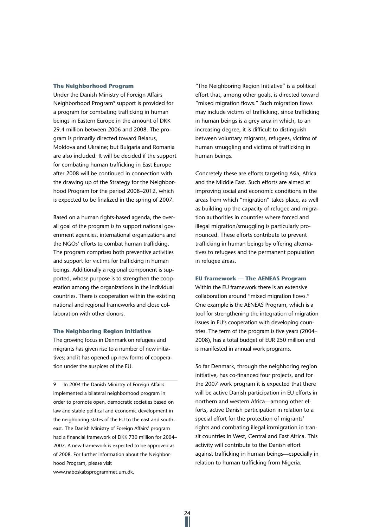#### **The Neighborhood Program**

Under the Danish Ministry of Foreign Affairs Neighborhood Program<sup>9</sup> support is provided for a program for combating trafficking in human beings in Eastern Europe in the amount of DKK 29.4 million between 2006 and 2008. The program is primarily directed toward Belarus, Moldova and Ukraine; but Bulgaria and Romania are also included. It will be decided if the support for combating human trafficking in East Europe after 2008 will be continued in connection with the drawing up of the Strategy for the Neighborhood Program for the period 2008–2012, which is expected to be finalized in the spring of 2007.

Based on a human rights-based agenda, the overall goal of the program is to support national government agencies, international organizations and the NGOs' efforts to combat human trafficking. The program comprises both preventive activities and support for victims for trafficking in human beings. Additionally a regional component is supported, whose purpose is to strengthen the cooperation among the organizations in the individual countries. There is cooperation within the existing national and regional frameworks and close collaboration with other donors.

#### **The Neighboring Region Initiative**

The growing focus in Denmark on refugees and migrants has given rise to a number of new initiatives; and it has opened up new forms of cooperation under the auspices of the EU.

9 In 2004 the Danish Ministry of Foreign Affairs implemented a bilateral neighborhood program in order to promote open, democratic societies based on law and stable political and economic development in the neighboring states of the EU to the east and southeast. The Danish Ministry of Foreign Affairs' program had a financial framework of DKK 730 million for 2004– 2007. A new framework is expected to be approved as of 2008. For further information about the Neighborhood Program, please visit

"The Neighboring Region Initiative" is a political effort that, among other goals, is directed toward "mixed migration flows." Such migration flows may include victims of trafficking, since trafficking in human beings is a grey area in which, to an increasing degree, it is difficult to distinguish between voluntary migrants, refugees, victims of human smuggling and victims of trafficking in human beings.

Concretely these are efforts targeting Asia, Africa and the Middle East. Such efforts are aimed at improving social and economic conditions in the areas from which "migration" takes place, as well as building up the capacity of refugee and migration authorities in countries where forced and illegal migration/smuggling is particularly pronounced. These efforts contribute to prevent trafficking in human beings by offering alternatives to refugees and the permanent population in refugee areas.

#### **EU framework — The AENEAS Program**

Within the EU framework there is an extensive collaboration around "mixed migration flows." One example is the AENEAS Program, which is a tool for strengthening the integration of migration issues in EU's cooperation with developing countries. The term of the program is five years (2004– 2008), has a total budget of EUR 250 million and is manifested in annual work programs.

So far Denmark, through the neighboring region initiative, has co-financed four projects, and for the 2007 work program it is expected that there will be active Danish participation in EU efforts in northern and western Africa—among other efforts, active Danish participation in relation to a special effort for the protection of migrants' rights and combating illegal immigration in transit countries in West, Central and East Africa. This activity will contribute to the Danish effort against trafficking in human beings—especially in relation to human trafficking from Nigeria.

 $\frac{24}{11}$ 

www.naboskabsprogrammet.um.dk.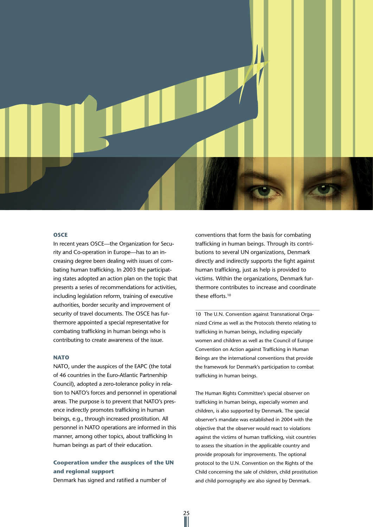

#### **OSCE**

In recent years OSCE—the Organization for Security and Co-operation in Europe—has to an increasing degree been dealing with issues of combating human trafficking. In 2003 the participating states adopted an action plan on the topic that presents a series of recommendations for activities, including legislation reform, training of executive authorities, border security and improvement of security of travel documents. The OSCE has furthermore appointed a special representative for combating trafficking in human beings who is contributing to create awareness of the issue.

#### **NATO**

NATO, under the auspices of the EAPC (the total of 46 countries in the Euro-Atlantic Partnership Council), adopted a zero-tolerance policy in relation to NATO's forces and personnel in operational areas. The purpose is to prevent that NATO's presence indirectly promotes trafficking in human beings, e.g., through increased prostitution. All personnel in NATO operations are informed in this manner, among other topics, about trafficking In human beings as part of their education.

#### **Cooperation under the auspices of the UN and regional support**

25

Denmark has signed and ratified a number of

conventions that form the basis for combating trafficking in human beings. Through its contributions to several UN organizations, Denmark directly and indirectly supports the fight against human trafficking, just as help is provided to victims. Within the organizations, Denmark furthermore contributes to increase and coordinate these efforts.10

10 The U.N. Convention against Transnational Organized Crime as well as the Protocols thereto relating to trafficking in human beings, including especially women and children as well as the Council of Europe Convention on Action against Trafficking in Human Beings are the international conventions that provide the framework for Denmark's participation to combat trafficking in human beings.

The Human Rights Committee's special observer on trafficking in human beings, especially women and children, is also supported by Denmark. The special observer's mandate was established in 2004 with the objective that the observer would react to violations against the victims of human trafficking, visit countries to assess the situation in the applicable country and provide proposals for improvements. The optional protocol to the U.N. Convention on the Rights of the Child concerning the sale of children, child prostitution and child pornography are also signed by Denmark.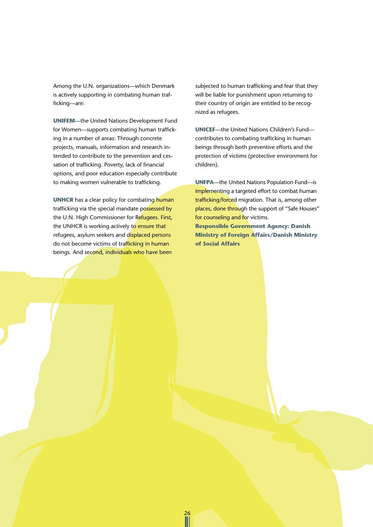Among the U.N. organizations—which Denmark is actively supporting in combating human trafficking—are:

**UNIFEM**—the United Nations Development Fund for Women—supports combating human trafficking in a number of areas: Through concrete projects, manuals, information and research intended to contribute to the prevention and cessation of trafficking. Poverty, lack of financial options, and poor education especially contribute to making women vulnerable to trafficking.

**UNHCR** has a clear policy for combating human trafficking via the special mandate possessed by the U.N. High Commissioner for Refugees. First, the UNHCR is working actively to ensure that refugees, asylum seekers and displaced persons do not become victims of trafficking in human beings. And second, individuals who have been

subjected to human trafficking and fear that they will be liable for punishment upon returning to their country of origin are entitled to be recognized as refugees.

**UNICEF**—the United Nations Children's Fund contributes to combating trafficking in human beings through both preventive efforts and the protection of victims (protective environment for children).

**UNFPA**—the United Nations Population Fund—is implementing a targeted effort to combat human trafficking/forced migration. That is, among other places, done through the support of "Safe Houses" for counseling and for victims. **Responsible Government Agency: Danish Ministry of Foreign Affairs/Danish Ministry of Social Affairs**

26<br>||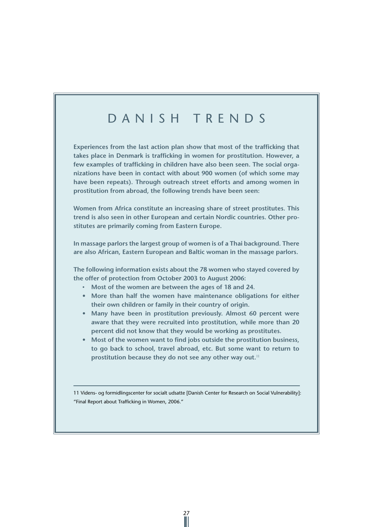## D anish trends

**Experiences from the last action plan show that most of the trafficking that takes place in Denmark is trafficking in women for prostitution. However, a few examples of trafficking in children have also been seen. The social organizations have been in contact with about 900 women (of which some may have been repeats). Through outreach street efforts and among women in prostitution from abroad, the following trends have been seen:**

**Women from Africa constitute an increasing share of street prostitutes. This trend is also seen in other European and certain Nordic countries. Other prostitutes are primarily coming from Eastern Europe.**

**In massage parlors the largest group of women is of a Thai background. There are also African, Eastern European and Baltic woman in the massage parlors.**

**The following information exists about the 78 women who stayed covered by the offer of protection from October 2003 to August 2006:** 

- • **Most of the women are between the ages of 18 and 24.**
- **• More than half the women have maintenance obligations for either their own children or family in their country of origin.**
- **• Many have been in prostitution previously. Almost 60 percent were aware that they were recruited into prostitution, while more than 20 percent did not know that they would be working as prostitutes.**
- **• Most of the women want to find jobs outside the prostitution business, to go back to school, travel abroad, etc. But some want to return to prostitution because they do not see any other way out.**<sup>11</sup>

11 Videns- og formidlingscenter for socialt udsatte [Danish Center for Research on Social Vulnerability]: "Final Report about Trafficking in Women, 2006."